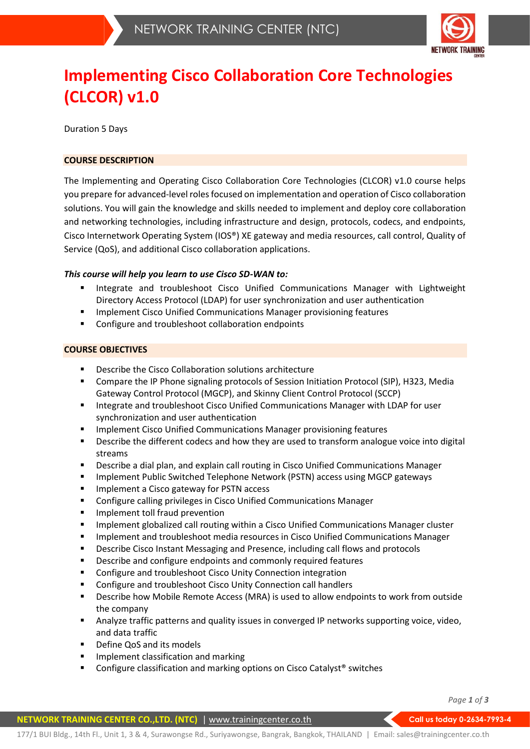

# **Implementing Cisco Collaboration Core Technologies (CLCOR) v1.0**

Duration 5 Days

## **COURSE DESCRIPTION**

The Implementing and Operating Cisco Collaboration Core Technologies (CLCOR) v1.0 course helps you prepare for advanced-level roles focused on implementation and operation of Cisco collaboration solutions. You will gain the knowledge and skills needed to implement and deploy core collaboration and networking technologies, including infrastructure and design, protocols, codecs, and endpoints, Cisco Internetwork Operating System (IOS®) XE gateway and media resources, call control, Quality of Service (QoS), and additional Cisco collaboration applications.

## *This course will help you learn to use Cisco SD-WAN to:*

- Integrate and troubleshoot Cisco Unified Communications Manager with Lightweight Directory Access Protocol (LDAP) for user synchronization and user authentication
- Implement Cisco Unified Communications Manager provisioning features
- Configure and troubleshoot collaboration endpoints

## **COURSE OBJECTIVES**

- Describe the Cisco Collaboration solutions architecture
- Compare the IP Phone signaling protocols of Session Initiation Protocol (SIP), H323, Media Gateway Control Protocol (MGCP), and Skinny Client Control Protocol (SCCP)
- Integrate and troubleshoot Cisco Unified Communications Manager with LDAP for user synchronization and user authentication
- **■** Implement Cisco Unified Communications Manager provisioning features
- **•** Describe the different codecs and how they are used to transform analogue voice into digital streams
- **•** Describe a dial plan, and explain call routing in Cisco Unified Communications Manager
- Implement Public Switched Telephone Network (PSTN) access using MGCP gateways
- Implement a Cisco gateway for PSTN access
- Configure calling privileges in Cisco Unified Communications Manager
- **■** Implement toll fraud prevention
- **■** Implement globalized call routing within a Cisco Unified Communications Manager cluster
- **■** Implement and troubleshoot media resources in Cisco Unified Communications Manager
- Describe Cisco Instant Messaging and Presence, including call flows and protocols
- Describe and configure endpoints and commonly required features
- Configure and troubleshoot Cisco Unity Connection integration
- Configure and troubleshoot Cisco Unity Connection call handlers
- **■** Describe how Mobile Remote Access (MRA) is used to allow endpoints to work from outside the company
- **EXECT Analyze traffic patterns and quality issues in converged IP networks supporting voice, video,** and data traffic
- Define QoS and its models
- **■** Implement classification and marking
- Configure classification and marking options on Cisco Catalyst<sup>®</sup> switches

*Page 1 of 3*

### **NETWORK TRAINING CENTER CO.,LTD. (NTC)** | www.trainingcenter.co.th **Call us today 0-2634-7993-4**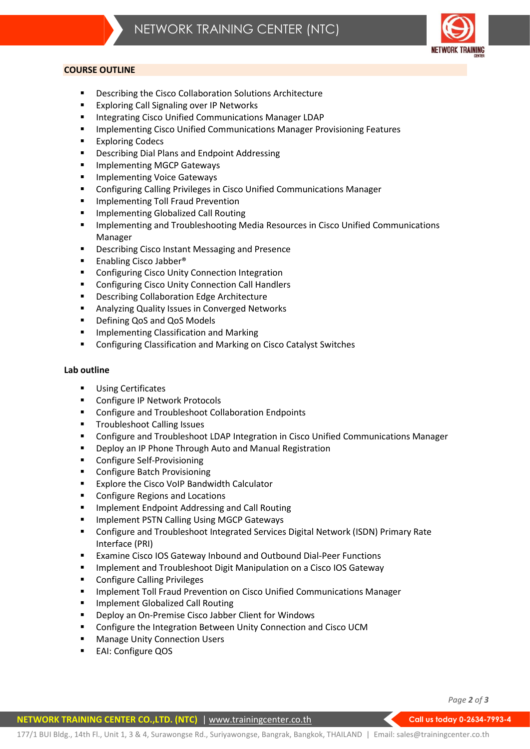#### **COURSE OUTLINE**

- Describing the Cisco Collaboration Solutions Architecture
- Exploring Call Signaling over IP Networks
- **■** Integrating Cisco Unified Communications Manager LDAP
- **■** Implementing Cisco Unified Communications Manager Provisioning Features
- Exploring Codecs
- Describing Dial Plans and Endpoint Addressing
- Implementing MGCP Gateways
- Implementing Voice Gateways
- Configuring Calling Privileges in Cisco Unified Communications Manager
- **■** Implementing Toll Fraud Prevention
- Implementing Globalized Call Routing
- **E** Implementing and Troubleshooting Media Resources in Cisco Unified Communications Manager
- Describing Cisco Instant Messaging and Presence
- Enabling Cisco Jabber<sup>®</sup>
- Configuring Cisco Unity Connection Integration
- Configuring Cisco Unity Connection Call Handlers
- Describing Collaboration Edge Architecture
- Analyzing Quality Issues in Converged Networks
- Defining QoS and QoS Models
- **■** Implementing Classification and Marking
- Configuring Classification and Marking on Cisco Catalyst Switches

#### **Lab outline**

- Using Certificates
- Configure IP Network Protocols
- Configure and Troubleshoot Collaboration Endpoints
- Troubleshoot Calling Issues
- Configure and Troubleshoot LDAP Integration in Cisco Unified Communications Manager
- Deploy an IP Phone Through Auto and Manual Registration
- Configure Self-Provisioning
- Configure Batch Provisioning
- Explore the Cisco VoIP Bandwidth Calculator
- Configure Regions and Locations
- Implement Endpoint Addressing and Call Routing
- Implement PSTN Calling Using MGCP Gateways
- Configure and Troubleshoot Integrated Services Digital Network (ISDN) Primary Rate Interface (PRI)
- Examine Cisco IOS Gateway Inbound and Outbound Dial-Peer Functions
- Implement and Troubleshoot Digit Manipulation on a Cisco IOS Gateway
- Configure Calling Privileges
- **■** Implement Toll Fraud Prevention on Cisco Unified Communications Manager
- Implement Globalized Call Routing
- Deploy an On-Premise Cisco Jabber Client for Windows
- Configure the Integration Between Unity Connection and Cisco UCM
- Manage Unity Connection Users
- EAI: Configure QOS

*Page 2 of 3*

#### **NETWORK TRAINING CENTER CO.,LTD. (NTC)** | www.trainingcenter.co.th **Call us today 0-2634-7993-4**